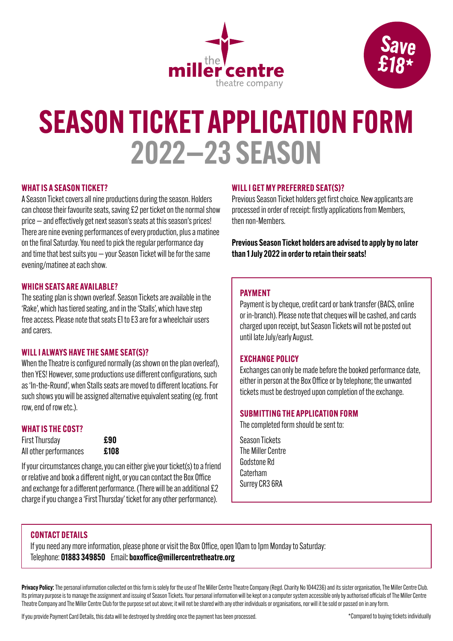



## SEASON TICKET APPLICATION FORM 2022—23 SEASON

#### WHAT IS A SEASON TICKET?

A Season Ticket covers all nine productions during the season. Holders can choose their favourite seats, saving £2 per ticket on the normal show price — and effectively get next season's seats at this season's prices! There are nine evening performances of every production, plus a matinee on the final Saturday. You need to pick the regular performance day and time that best suits you  $-$  your Season Ticket will be for the same evening/matinee at each show.

#### WHICH SEATS ARE AVAILABLE?

The seating plan is shown overleaf. Season Tickets are available in the 'Rake', which has tiered seating, and in the 'Stalls', which have step free access. Please note that seats E1 to E3 are for a wheelchair users and carers.

#### WILL I ALWAYS HAVE THE SAME SEAT(S)?

When the Theatre is configured normally (as shown on the plan overleaf), then YES! However, some productions use different configurations, such as 'In-the-Round', when Stalls seats are moved to different locations. For such shows you will be assigned alternative equivalent seating (eg. front row, end of row etc.).

#### WHAT IS THE COST?

First Thursday **£90** All other performances **£108** 

If your circumstances change, you can either give your ticket(s) to a friend or relative and book a different night, or you can contact the Box Office and exchange for a different performance. (There will be an additional £2 charge if you change a 'First Thursday' ticket for any other performance).

#### WILL I GET MY PREFERRED SEAT(S)?

Previous Season Ticket holders get first choice. New applicants are processed in order of receipt: firstly applications from Members, then non-Members.

Previous Season Ticket holders are advised to apply by no later than 1 July 2022 in order to retain their seats!

#### PAYMENT

Payment is by cheque, credit card or bank transfer (BACS, online or in-branch). Please note that cheques will be cashed, and cards charged upon receipt, but Season Tickets will not be posted out until late July/early August.

#### EXCHANGE POLICY

Exchanges can only be made before the booked performance date, either in person at the Box Office or by telephone; the unwanted tickets must be destroyed upon completion of the exchange.

#### SUBMITTING THE APPLICATION FORM

The completed form should be sent to:

Season Tickets The Miller Centre Godstone Rd **Caterham** Surrey CR3 6RA

#### CONTACT DETAILS

If you need any more information, please phone or visit the Box Office, open 10am to 1pm Monday to Saturday: Telephone: 01883 349850 Email: boxoffice@millercentretheatre.org

Privacy Policy: The personal information collected on this form is solely for the use of The Miller Centre Theatre Company (Regd. Charity No 1044236) and its sister organisation, The Miller Centre Club. Its primary purpose is to manage the assignment and issuing of Season Tickets. Your personal information will be kept on a computer system accessible only by authorised officials of The Miller Centre Theatre Company and The Miller Centre Club for the purpose set out above; it will not be shared with any other individuals or organisations, nor will it be sold or passed on in any form.

If you provide Payment Card Details, this data will be destroyed by shredding once the payment has been processed.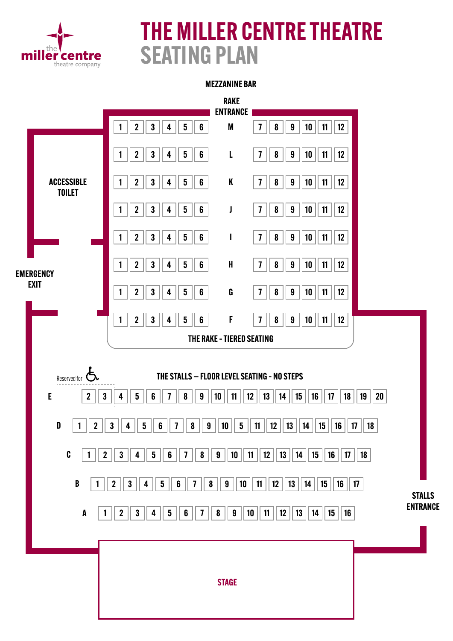

## THE MILLER CENTRE THEATRE SEATING PLAN

#### MEZZANINE BAR

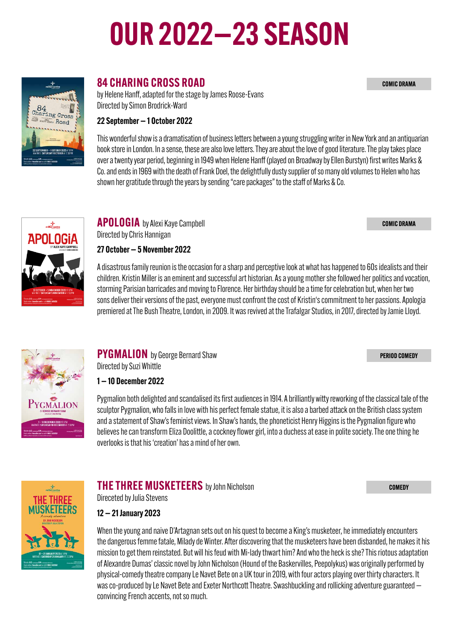# OUR 2022—23 SEASON

#### 84 CHARING CROSS ROAD

by Helene Hanff, adapted for the stage by James Roose-Evans Directed by Simon Brodrick-Ward

#### 22 September — 1 October 2022

This wonderful show is a dramatisation of business letters between a young struggling writer in New York and an antiquarian book store in London. In a sense, these are also love letters. They are about the love of good literature. The play takes place over a twenty year period, beginning in 1949 when Helene Hanff (played on Broadway by Ellen Burstyn) first writes Marks & Co. and ends in 1969 with the death of Frank Doel, the delightfully dusty supplier of so many old volumes to Helen who has shown her gratitude through the years by sending "care packages" to the staff of Marks & Co.

APOLOGIA by Alexi Kaye Campbell Directed by Chris Hannigan

27 October — 5 November 2022

A disastrous family reunion is the occasion for a sharp and perceptive look at what has happened to 60s idealists and their children. Kristin Miller is an eminent and successful art historian. As a young mother she followed her politics and vocation, storming Parisian barricades and moving to Florence. Her birthday should be a time for celebration but, when her two sons deliver their versions of the past, everyone must confront the cost of Kristin's commitment to her passions. Apologia premiered at The Bush Theatre, London, in 2009. It was revived at the Trafalgar Studios, in 2017, directed by Jamie Lloyd.



#### **PYGMALION** by George Bernard Shaw Directed by Suzi Whittle

1 — 10 December 2022

Pygmalion both delighted and scandalised its first audiences in 1914. A brilliantly witty reworking of the classical tale of the sculptor Pygmalion, who falls in love with his perfect female statue, it is also a barbed attack on the British class system and a statement of Shaw's feminist views. In Shaw's hands, the phoneticist Henry Higgins is the Pygmalion figure who believes he can transform Eliza Doolittle, a cockney flower girl, into a duchess at ease in polite society. The one thing he overlooks is that his 'creation' has a mind of her own.



#### THE THREE MUSKETEERS by John Nicholson Direceted by Julia Stevens

**COMEDY** 

#### 12 — 21 January 2023

When the young and naive D'Artagnan sets out on his quest to become a King's musketeer, he immediately encounters the dangerous femme fatale, Milady de Winter. After discovering that the musketeers have been disbanded, he makes it his mission to get them reinstated. But will his feud with Mi-lady thwart him? And who the heck is she? This riotous adaptation of Alexandre Dumas' classic novel by John Nicholson (Hound of the Baskervilles, Peepolykus) was originally performed by physical-comedy theatre company Le Navet Bete on a UK tour in 2019, with four actors playing over thirty characters. It was co-produced by Le Navet Bete and Exeter Northcott Theatre. Swashbuckling and rollicking adventure guaranteed  $$ convincing French accents, not so much.



 $\begin{array}{c}\n\begin{array}{c}\n\downarrow \\
\downarrow \\
\downarrow\n\end{array}\n\end{array}$ **APOLOGI**  COMIC DRAMA

PERIOD COMEDY

COMIC DRAMA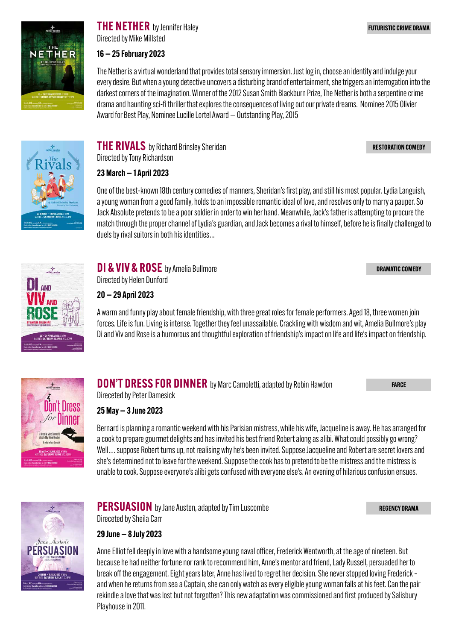

**THE NETHER** by Jennifer Haley Directed by Mike Millsted

#### 16 — 25 February 2023

The Nether is a virtual wonderland that provides total sensory immersion. Just log in, choose an identity and indulge your every desire. But when a young detective uncovers a disturbing brand of entertainment, she triggers an interrogation into the darkest corners of the imagination. Winner of the 2012 Susan Smith Blackburn Prize, The Nether is both a serpentine crime drama and haunting sci-fi thriller that explores the consequences of living out our private dreams. Nominee 2015 Olivier Award for Best Play, Nominee Lucille Lortel Award — Outstanding Play, 2015

RESTORATION COMEDY

FUTURISTIC CRIME DRAMA



Directed by Tony Richardson 23 March — 1 April 2023

**THE RIVALS** by Richard Brinsley Sheridan

One of the best-known 18th century comedies of manners, Sheridan's first play, and still his most popular. Lydia Languish, a young woman from a good family, holds to an impossible romantic ideal of love, and resolves only to marry a pauper. So Jack Absolute pretends to be a poor soldier in order to win her hand. Meanwhile, Jack's father is attempting to procure the match through the proper channel of Lydia's guardian, and Jack becomes a rival to himself, before he is finally challenged to duels by rival suitors in both his identities…

DRAMATIC COMEDY



DI & VIV & ROSE by Amelia Bullmore Directed by Helen Dunford

20 — 29 April 2023

A warm and funny play about female friendship, with three great roles for female performers. Aged 18, three women join forces. Life is fun. Living is intense. Together they feel unassailable. Crackling with wisdom and wit, Amelia Bullmore's play Di and Viv and Rose is a humorous and thoughtful exploration of friendship's impact on life and life's impact on friendship.



**DON'T DRESS FOR DINNER** by Marc Camoletti, adapted by Robin Hawdon

FARCE

REGENCY DRAMA

Direceted by Peter Damesick

25 May — 3 June 2023

Bernard is planning a romantic weekend with his Parisian mistress, while his wife, Jacqueline is away. He has arranged for a cook to prepare gourmet delights and has invited his best friend Robert along as alibi. What could possibly go wrong? Well…. suppose Robert turns up, not realising why he's been invited. Suppose Jacqueline and Robert are secret lovers and she's determined not to leave for the weekend. Suppose the cook has to pretend to be the mistress and the mistress is unable to cook. Suppose everyone's alibi gets confused with everyone else's. An evening of hilarious confusion ensues.



**PERSUASION** by Jane Austen, adapted by Tim Luscombe Direceted by Sheila Carr

29 June — 8 July 2023

Anne Elliot fell deeply in love with a handsome young naval officer, Frederick Wentworth, at the age of nineteen. But because he had neither fortune nor rank to recommend him, Anne's mentor and friend, Lady Russell, persuaded her to break off the engagement. Eight years later, Anne has lived to regret her decision. She never stopped loving Frederick – and when he returns from sea a Captain, she can only watch as every eligible young woman falls at his feet. Can the pair rekindle a love that was lost but not forgotten? This new adaptation was commissioned and first produced by Salisbury Playhouse in 2011.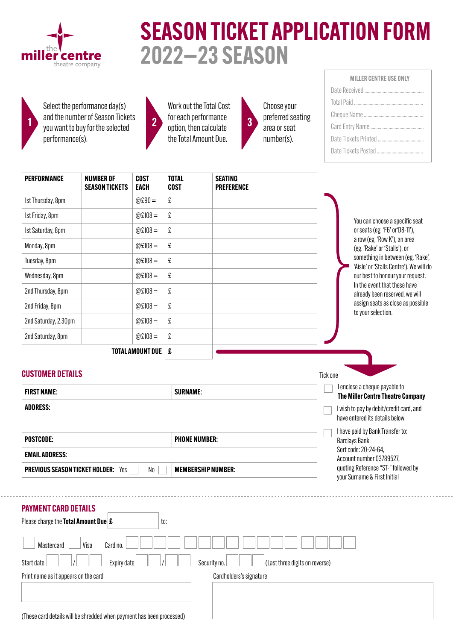

## SEASON TICKET APPLICATION FORM 2022—23 SEASON

Select the performance day(s) and the number of Season Tickets you want to buy for the selected 1 2 3 performance(s).



Work out the Total Cost for each performance option, then calculate the Total Amount Due.

Choose your preferred seating area or seat number(s).

| <b>MILLER CENTRE USE ONLY</b> |  |  |  |  |  |  |  |  |
|-------------------------------|--|--|--|--|--|--|--|--|
|                               |  |  |  |  |  |  |  |  |
|                               |  |  |  |  |  |  |  |  |
|                               |  |  |  |  |  |  |  |  |
|                               |  |  |  |  |  |  |  |  |
|                               |  |  |  |  |  |  |  |  |
|                               |  |  |  |  |  |  |  |  |

| <b>PERFORMANCE</b>           | <b>NUMBER OF</b><br><b>SEASON TICKETS</b> | <b>COST</b><br><b>EACH</b> | <b>TOTAL</b><br><b>COST</b> | <b>SEATING</b><br><b>PREFERENCE</b> |                                                                              |
|------------------------------|-------------------------------------------|----------------------------|-----------------------------|-------------------------------------|------------------------------------------------------------------------------|
| 1st Thursday, 8pm            |                                           | $@E90 =$                   | £                           |                                     |                                                                              |
| 1st Friday, 8pm              |                                           | @£108 =                    | £                           |                                     | You can choose a specific seat                                               |
| 1st Saturday, 8pm            |                                           | @£108 =                    | £                           |                                     | or seats (eg. 'F6' or'D8-11'),                                               |
| Monday, 8pm                  |                                           | @£108 =                    | £                           |                                     | a row (eg. 'Row K'), an area<br>(eg. 'Rake' or 'Stalls'), or                 |
| Tuesday, 8pm                 |                                           | @£108 =                    | £                           |                                     | something in between (eg. 'Rake',<br>'Aisle' or 'Stalls Centre'). We will do |
| Wednesday, 8pm               |                                           | @£108 =                    | £                           |                                     | our best to honour your request.                                             |
| 2nd Thursday, 8pm            |                                           | @£108 =                    | £                           |                                     | In the event that these have<br>already been reserved, we will               |
| 2nd Friday, 8pm              |                                           | $@E108 =$                  | £                           |                                     | assign seats as close as possible<br>to your selection.                      |
| 2nd Saturday, 2.30pm         |                                           | $@E108 =$                  | £                           |                                     |                                                                              |
| 2nd Saturday, 8pm            |                                           | @£108 =                    | £                           |                                     |                                                                              |
| <b>TOTAL AMOUNT DUE</b><br>£ |                                           |                            |                             |                                     |                                                                              |
| <b>CUSTOMER DETAILS</b>      |                                           |                            |                             |                                     | Tick one                                                                     |
| <b>FIRST NAME:</b>           |                                           |                            | <b>SURNAME:</b>             |                                     | I enclose a cheque payable to<br>The Miller Centre Theatre Company           |
| <b>ADDRESS:</b>              |                                           |                            |                             |                                     | I wish to pay by debit/credit card, and<br>have entered its details below.   |
|                              |                                           |                            |                             |                                     | I have paid by Bank Transfer to:                                             |

I have paid by Bank Transfer to: Barclays Bank Sort code: 20-24-64, Account number 03789527, quoting Reference "ST-" followed by your Surname & First Initial

. . . . . . . . . . . . . . .

| <b>PAYMENT CARD DETAILS</b>                 |             |     |                         |                                |  |
|---------------------------------------------|-------------|-----|-------------------------|--------------------------------|--|
| Please charge the <b>Total Amount Due £</b> |             | to: |                         |                                |  |
| Visa<br>Mastercard                          | Card no.    |     |                         |                                |  |
| Start date                                  | Expiry date |     | Security no.            | (Last three digits on reverse) |  |
| Print name as it appears on the card        |             |     | Cardholders's signature |                                |  |
|                                             |             |     |                         |                                |  |
|                                             |             |     |                         |                                |  |
|                                             |             |     |                         |                                |  |

POSTCODE: POSTCODE:

PREVIOUS SEASON TICKET HOLDER: Yes No No MEMBERSHIP NUMBER:

EMAIL ADDRESS: